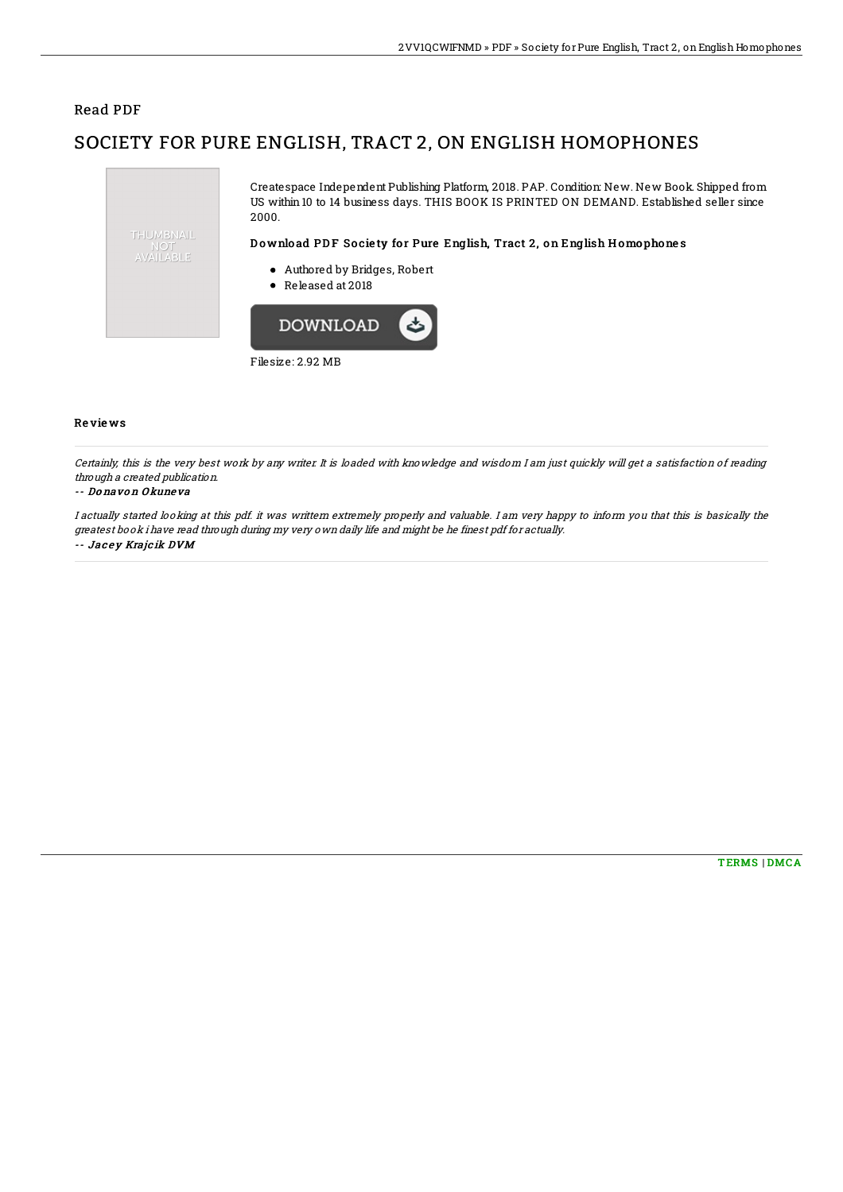## Read PDF

# SOCIETY FOR PURE ENGLISH, TRACT 2, ON ENGLISH HOMOPHONES



Filesize: 2.92 MB

### Re vie ws

Certainly, this is the very best work by any writer. It is loaded with knowledge and wisdom I am just quickly will get <sup>a</sup> satisfaction of reading through <sup>a</sup> created publication.

#### -- Do navo <sup>n</sup> O kune va

I actually started looking at this pdf. it was writtern extremely properly and valuable. I am very happy to inform you that this is basically the greatest book i have read through during my very own daily life and might be he finest pdf for actually. -- Jacey Krajcik DVM